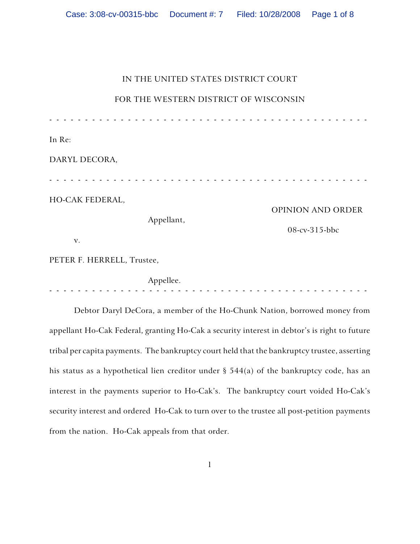# IN THE UNITED STATES DISTRICT COURT

FOR THE WESTERN DISTRICT OF WISCONSIN

| In Re:<br>DARYL DECORA,    |            |                                    |
|----------------------------|------------|------------------------------------|
| HO-CAK FEDERAL,<br>v.      | Appellant, | OPINION AND ORDER<br>08-cv-315-bbc |
| PETER F. HERRELL, Trustee, |            |                                    |
|                            | Appellee.  |                                    |

Debtor Daryl DeCora, a member of the Ho-Chunk Nation, borrowed money from appellant Ho-Cak Federal, granting Ho-Cak a security interest in debtor's is right to future tribal per capita payments. The bankruptcy court held that the bankruptcy trustee, asserting his status as a hypothetical lien creditor under § 544(a) of the bankruptcy code, has an interest in the payments superior to Ho-Cak's. The bankruptcy court voided Ho-Cak's security interest and ordered Ho-Cak to turn over to the trustee all post-petition payments from the nation. Ho-Cak appeals from that order.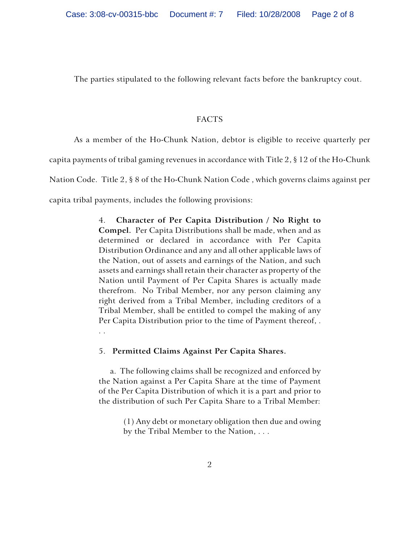The parties stipulated to the following relevant facts before the bankruptcy cout.

## FACTS

As a member of the Ho-Chunk Nation, debtor is eligible to receive quarterly per

capita payments of tribal gaming revenues in accordance with Title 2, § 12 of the Ho-Chunk

Nation Code. Title 2, § 8 of the Ho-Chunk Nation Code , which governs claims against per

capita tribal payments, includes the following provisions:

4. **Character of Per Capita Distribution / No Right to Compel.** Per Capita Distributions shall be made, when and as determined or declared in accordance with Per Capita Distribution Ordinance and any and all other applicable laws of the Nation, out of assets and earnings of the Nation, and such assets and earnings shall retain their character as property of the Nation until Payment of Per Capita Shares is actually made therefrom. No Tribal Member, nor any person claiming any right derived from a Tribal Member, including creditors of a Tribal Member, shall be entitled to compel the making of any Per Capita Distribution prior to the time of Payment thereof, . . .

## 5. **Permitted Claims Against Per Capita Shares.**

 a. The following claims shall be recognized and enforced by the Nation against a Per Capita Share at the time of Payment of the Per Capita Distribution of which it is a part and prior to the distribution of such Per Capita Share to a Tribal Member:

> (1) Any debt or monetary obligation then due and owing by the Tribal Member to the Nation, . . .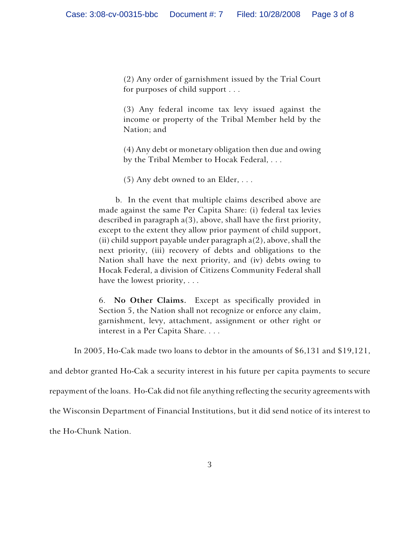(2) Any order of garnishment issued by the Trial Court for purposes of child support . . .

(3) Any federal income tax levy issued against the income or property of the Tribal Member held by the Nation; and

(4) Any debt or monetary obligation then due and owing by the Tribal Member to Hocak Federal, . . .

(5) Any debt owned to an Elder, . . .

 b. In the event that multiple claims described above are made against the same Per Capita Share: (i) federal tax levies described in paragraph a(3), above, shall have the first priority, except to the extent they allow prior payment of child support, (ii) child support payable under paragraph  $a(2)$ , above, shall the next priority, (iii) recovery of debts and obligations to the Nation shall have the next priority, and (iv) debts owing to Hocak Federal, a division of Citizens Community Federal shall have the lowest priority, . . .

6. **No Other Claims.** Except as specifically provided in Section 5, the Nation shall not recognize or enforce any claim, garnishment, levy, attachment, assignment or other right or interest in a Per Capita Share. . . .

In 2005, Ho-Cak made two loans to debtor in the amounts of \$6,131 and \$19,121,

and debtor granted Ho-Cak a security interest in his future per capita payments to secure

repayment of the loans. Ho-Cak did not file anything reflecting the security agreements with

the Wisconsin Department of Financial Institutions, but it did send notice of its interest to

the Ho-Chunk Nation.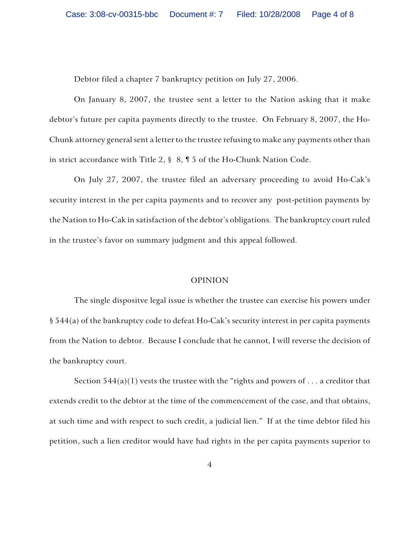Debtor filed a chapter 7 bankruptcy petition on July 27, 2006.

On January 8, 2007, the trustee sent a letter to the Nation asking that it make debtor's future per capita payments directly to the trustee. On February 8, 2007, the Ho-Chunk attorney general sent a letter to the trustee refusing to make any payments other than in strict accordance with Title 2, § 8, ¶ 5 of the Ho-Chunk Nation Code.

On July 27, 2007, the trustee filed an adversary proceeding to avoid Ho-Cak's security interest in the per capita payments and to recover any post-petition payments by the Nation to Ho-Cak in satisfaction of the debtor's obligations. The bankruptcy court ruled in the trustee's favor on summary judgment and this appeal followed.

#### OPINION

The single dispositve legal issue is whether the trustee can exercise his powers under § 544(a) of the bankruptcy code to defeat Ho-Cak's security interest in per capita payments from the Nation to debtor. Because I conclude that he cannot, I will reverse the decision of the bankruptcy court.

Section  $544(a)(1)$  vests the trustee with the "rights and powers of ... a creditor that extends credit to the debtor at the time of the commencement of the case, and that obtains, at such time and with respect to such credit, a judicial lien." If at the time debtor filed his petition, such a lien creditor would have had rights in the per capita payments superior to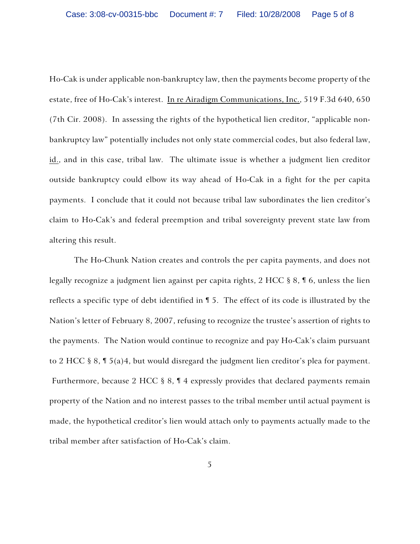Ho-Cak is under applicable non-bankruptcy law, then the payments become property of the estate, free of Ho-Cak's interest. In re Airadigm Communications, Inc., 519 F.3d 640, 650 (7th Cir. 2008). In assessing the rights of the hypothetical lien creditor, "applicable nonbankruptcy law" potentially includes not only state commercial codes, but also federal law, id., and in this case, tribal law. The ultimate issue is whether a judgment lien creditor outside bankruptcy could elbow its way ahead of Ho-Cak in a fight for the per capita payments. I conclude that it could not because tribal law subordinates the lien creditor's claim to Ho-Cak's and federal preemption and tribal sovereignty prevent state law from altering this result.

The Ho-Chunk Nation creates and controls the per capita payments, and does not legally recognize a judgment lien against per capita rights, 2 HCC § 8, ¶ 6, unless the lien reflects a specific type of debt identified in ¶ 5. The effect of its code is illustrated by the Nation's letter of February 8, 2007, refusing to recognize the trustee's assertion of rights to the payments. The Nation would continue to recognize and pay Ho-Cak's claim pursuant to 2 HCC  $\S 8$ ,  $\P 5$ (a)4, but would disregard the judgment lien creditor's plea for payment. Furthermore, because 2 HCC § 8, ¶ 4 expressly provides that declared payments remain property of the Nation and no interest passes to the tribal member until actual payment is made, the hypothetical creditor's lien would attach only to payments actually made to the tribal member after satisfaction of Ho-Cak's claim.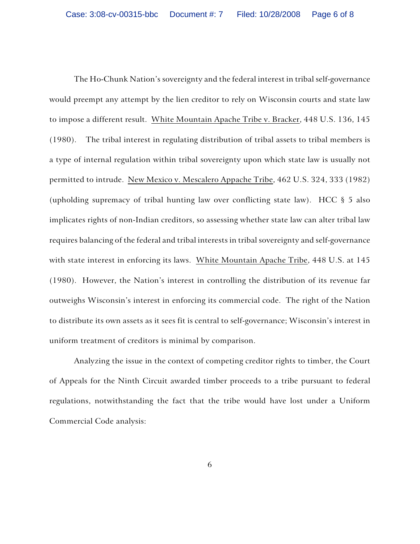The Ho-Chunk Nation's sovereignty and the federal interest in tribal self-governance would preempt any attempt by the lien creditor to rely on Wisconsin courts and state law to impose a different result. White Mountain Apache Tribe v. Bracker, 448 U.S. 136, 145 (1980). The tribal interest in regulating distribution of tribal assets to tribal members is a type of internal regulation within tribal sovereignty upon which state law is usually not permitted to intrude. New Mexico v. Mescalero Appache Tribe, 462 U.S. 324, 333 (1982) (upholding supremacy of tribal hunting law over conflicting state law). HCC § 5 also implicates rights of non-Indian creditors, so assessing whether state law can alter tribal law requires balancing of the federal and tribal interests in tribal sovereignty and self-governance with state interest in enforcing its laws. White Mountain Apache Tribe, 448 U.S. at 145 (1980). However, the Nation's interest in controlling the distribution of its revenue far outweighs Wisconsin's interest in enforcing its commercial code. The right of the Nation to distribute its own assets as it sees fit is central to self-governance; Wisconsin's interest in uniform treatment of creditors is minimal by comparison.

Analyzing the issue in the context of competing creditor rights to timber, the Court of Appeals for the Ninth Circuit awarded timber proceeds to a tribe pursuant to federal regulations, notwithstanding the fact that the tribe would have lost under a Uniform Commercial Code analysis: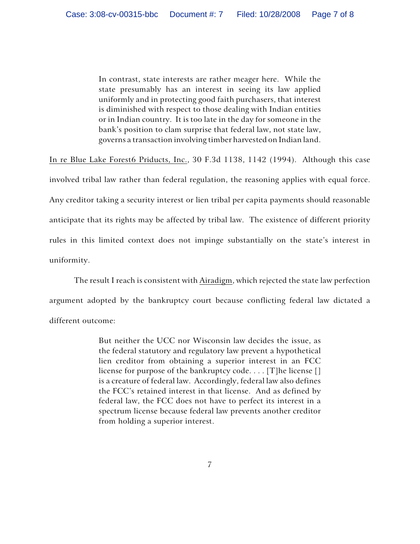In contrast, state interests are rather meager here. While the state presumably has an interest in seeing its law applied uniformly and in protecting good faith purchasers, that interest is diminished with respect to those dealing with Indian entities or in Indian country. It is too late in the day for someone in the bank's position to clam surprise that federal law, not state law, governs a transaction involving timber harvested on Indian land.

In re Blue Lake Forest6 Priducts, Inc., 30 F.3d 1138, 1142 (1994). Although this case involved tribal law rather than federal regulation, the reasoning applies with equal force. Any creditor taking a security interest or lien tribal per capita payments should reasonable anticipate that its rights may be affected by tribal law. The existence of different priority rules in this limited context does not impinge substantially on the state's interest in uniformity.

The result I reach is consistent with Airadigm, which rejected the state law perfection argument adopted by the bankruptcy court because conflicting federal law dictated a different outcome:

> But neither the UCC nor Wisconsin law decides the issue, as the federal statutory and regulatory law prevent a hypothetical lien creditor from obtaining a superior interest in an FCC license for purpose of the bankruptcy code. . . . [T]he license [] is a creature of federal law. Accordingly, federal law also defines the FCC's retained interest in that license. And as defined by federal law, the FCC does not have to perfect its interest in a spectrum license because federal law prevents another creditor from holding a superior interest.